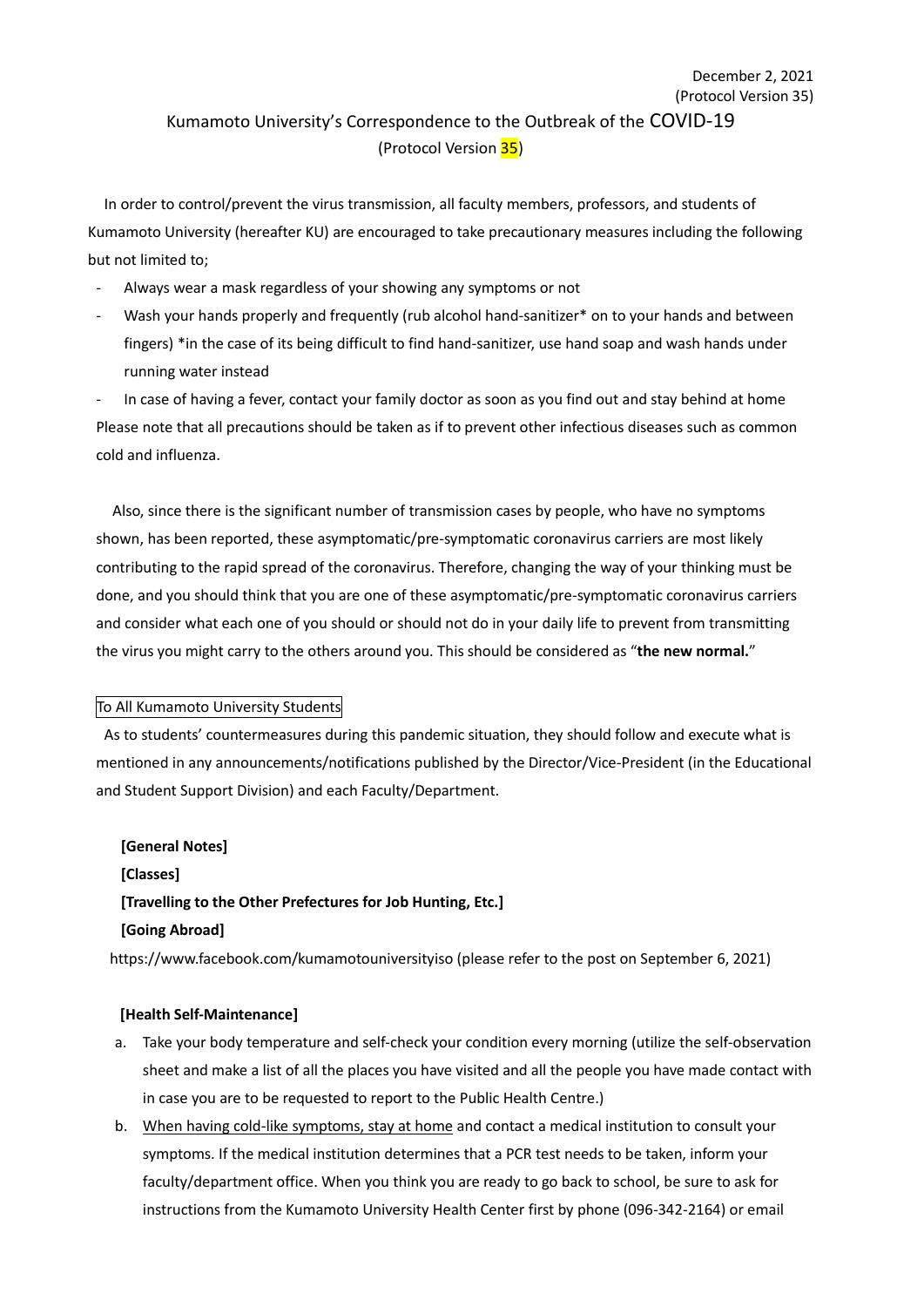## (Protocol Version 35) Kumamoto University's Correspondence to the Outbreak of the COVID-19 (Protocol Version 35)

December 2, 2021

In order to control/prevent the virus transmission, all faculty members, professors, and students of Kumamoto University (hereafter KU) are encouraged to take precautionary measures including the following but not limited to;

- Always wear a mask regardless of your showing any symptoms or not
- Wash your hands properly and frequently (rub alcohol hand-sanitizer\* on to your hands and between fingers) \*in the case of its being difficult to find hand-sanitizer, use hand soap and wash hands under running water instead

In case of having a fever, contact your family doctor as soon as you find out and stay behind at home Please note that all precautions should be taken as if to prevent other infectious diseases such as common cold and influenza.

Also, since there is the significant number of transmission cases by people, who have no symptoms shown, has been reported, these asymptomatic/pre-symptomatic coronavirus carriers are most likely contributing to the rapid spread of the coronavirus. Therefore, changing the way of your thinking must be done, and you should think that you are one of these asymptomatic/pre-symptomatic coronavirus carriers and consider what each one of you should or should not do in your daily life to prevent from transmitting the virus you might carry to the others around you. This should be considered as "**the new normal.**"

#### To All Kumamoto University Students

As to students' countermeasures during this pandemic situation, they should follow and execute what is mentioned in any announcements/notifications published by the Director/Vice-President (in the Educational and Student Support Division) and each Faculty/Department.

# **[General Notes] [Classes] [Travelling to the Other Prefectures for Job Hunting, Etc.] [Going Abroad]**

https://www.facebook.com/kumamotouniversityiso (please refer to the post on September 6, 2021)

#### **[Health Self-Maintenance]**

- a. Take your body temperature and self-check your condition every morning (utilize the self-observation sheet and make a list of all the places you have visited and all the people you have made contact with in case you are to be requested to report to the Public Health Centre.)
- b. When having cold-like symptoms, stay at home and contact a medical institution to consult your symptoms. If the medical institution determines that a PCR test needs to be taken, inform your faculty/department office. When you think you are ready to go back to school, be sure to ask for instructions from the Kumamoto University Health Center first by phone (096-342-2164) or email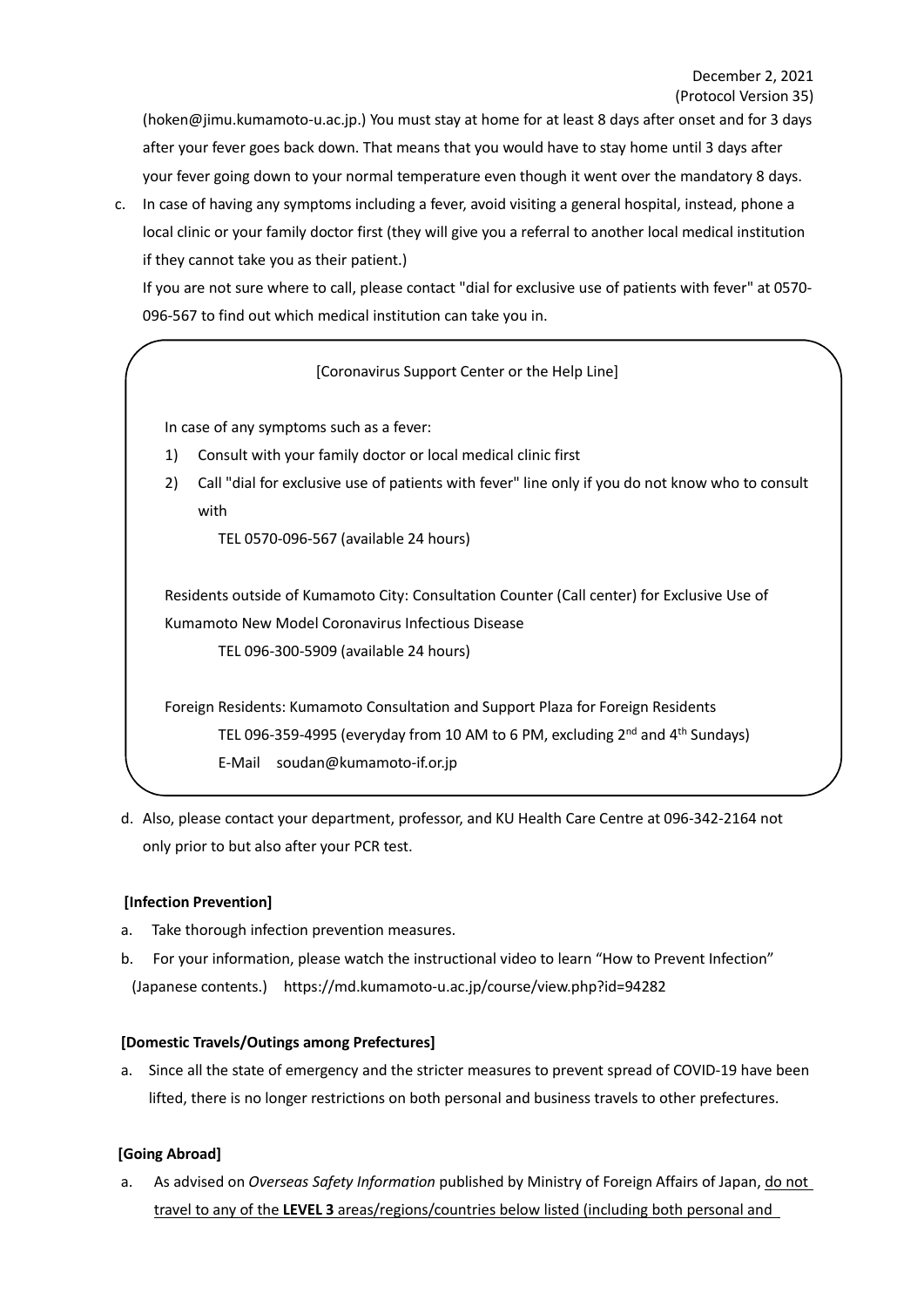(hoken@jimu.kumamoto-u.ac.jp.) You must stay at home for at least 8 days after onset and for 3 days after your fever goes back down. That means that you would have to stay home until 3 days after your fever going down to your normal temperature even though it went over the mandatory 8 days.

c. In case of having any symptoms including a fever, avoid visiting a general hospital, instead, phone a local clinic or your family doctor first (they will give you a referral to another local medical institution if they cannot take you as their patient.)

If you are not sure where to call, please contact "dial for exclusive use of patients with fever" at 0570- 096-567 to find out which medical institution can take you in.

## [Coronavirus Support Center or the Help Line]

In case of any symptoms such as a fever:

- 1) Consult with your family doctor or local medical clinic first
- 2) Call "dial for exclusive use of patients with fever" line only if you do not know who to consult with

TEL 0570-096-567 (available 24 hours)

Residents outside of Kumamoto City: Consultation Counter (Call center) for Exclusive Use of Kumamoto New Model Coronavirus Infectious Disease

TEL 096-300-5909 (available 24 hours)

Foreign Residents: Kumamoto Consultation and Support Plaza for Foreign Residents TEL 096-359-4995 (everyday from 10 AM to 6 PM, excluding 2<sup>nd</sup> and 4<sup>th</sup> Sundays) E-Mail soudan@kumamoto-if.or.jp

d. Also, please contact your department, professor, and KU Health Care Centre at 096-342-2164 not only prior to but also after your PCR test.

#### **[Infection Prevention]**

- a. Take thorough infection prevention measures.
- b. For your information, please watch the instructional video to learn "How to Prevent Infection" (Japanese contents.) https://md.kumamoto-u.ac.jp/course/view.php?id=94282

#### **[Domestic Travels/Outings among Prefectures]**

a. Since all the state of emergency and the stricter measures to prevent spread of COVID-19 have been lifted, there is no longer restrictions on both personal and business travels to other prefectures.

## **[Going Abroad]**

a. As advised on *Overseas Safety Information* published by Ministry of Foreign Affairs of Japan, do not travel to any of the **LEVEL 3** areas/regions/countries below listed (including both personal and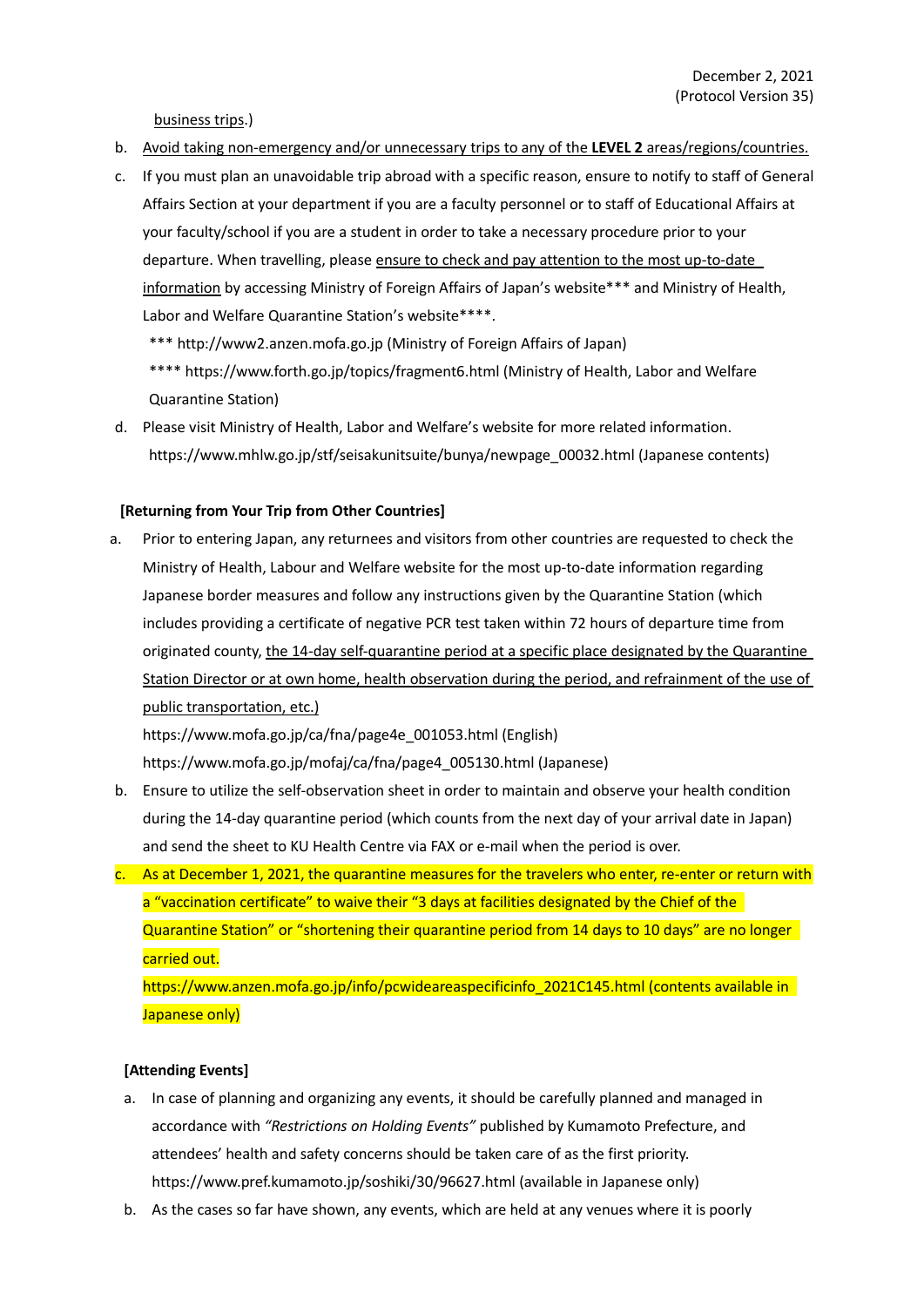business trips.)

- b. Avoid taking non-emergency and/or unnecessary trips to any of the **LEVEL 2** areas/regions/countries.
- c. If you must plan an unavoidable trip abroad with a specific reason, ensure to notify to staff of General Affairs Section at your department if you are a faculty personnel or to staff of Educational Affairs at your faculty/school if you are a student in order to take a necessary procedure prior to your departure. When travelling, please ensure to check and pay attention to the most up-to-date information by accessing Ministry of Foreign Affairs of Japan's website\*\*\* and Ministry of Health, Labor and Welfare Quarantine Station's website\*\*\*\*.

\*\*\* http://www2.anzen.mofa.go.jp (Ministry of Foreign Affairs of Japan)

\*\*\*\* https://www.forth.go.jp/topics/fragment6.html (Ministry of Health, Labor and Welfare Quarantine Station)

d. Please visit Ministry of Health, Labor and Welfare's website for more related information. https://www.mhlw.go.jp/stf/seisakunitsuite/bunya/newpage\_00032.html (Japanese contents)

#### **[Returning from Your Trip from Other Countries]**

a. Prior to entering Japan, any returnees and visitors from other countries are requested to check the Ministry of Health, Labour and Welfare website for the most up-to-date information regarding Japanese border measures and follow any instructions given by the Quarantine Station (which includes providing a certificate of negative PCR test taken within 72 hours of departure time from originated county, the 14-day self-quarantine period at a specific place designated by the Quarantine Station Director or at own home, health observation during the period, and refrainment of the use of public transportation, etc.)

https://www.mofa.go.jp/ca/fna/page4e\_001053.html (English) https://www.mofa.go.jp/mofaj/ca/fna/page4\_005130.html (Japanese)

- b. Ensure to utilize the self-observation sheet in order to maintain and observe your health condition during the 14-day quarantine period (which counts from the next day of your arrival date in Japan) and send the sheet to KU Health Centre via FAX or e-mail when the period is over.
- c. As at December 1, 2021, the quarantine measures for the travelers who enter, re-enter or return with a "vaccination certificate" to waive their "3 days at facilities designated by the Chief of the Quarantine Station" or "shortening their quarantine period from 14 days to 10 days" are no longer carried out.

https://www.anzen.mofa.go.jp/info/pcwideareaspecificinfo\_2021C145.html (contents available in Japanese only)

#### **[Attending Events]**

- a. In case of planning and organizing any events, it should be carefully planned and managed in accordance with *"Restrictions on Holding Events"* published by Kumamoto Prefecture, and attendees' health and safety concerns should be taken care of as the first priority. https://www.pref.kumamoto.jp/soshiki/30/96627.html (available in Japanese only)
- b. As the cases so far have shown, any events, which are held at any venues where it is poorly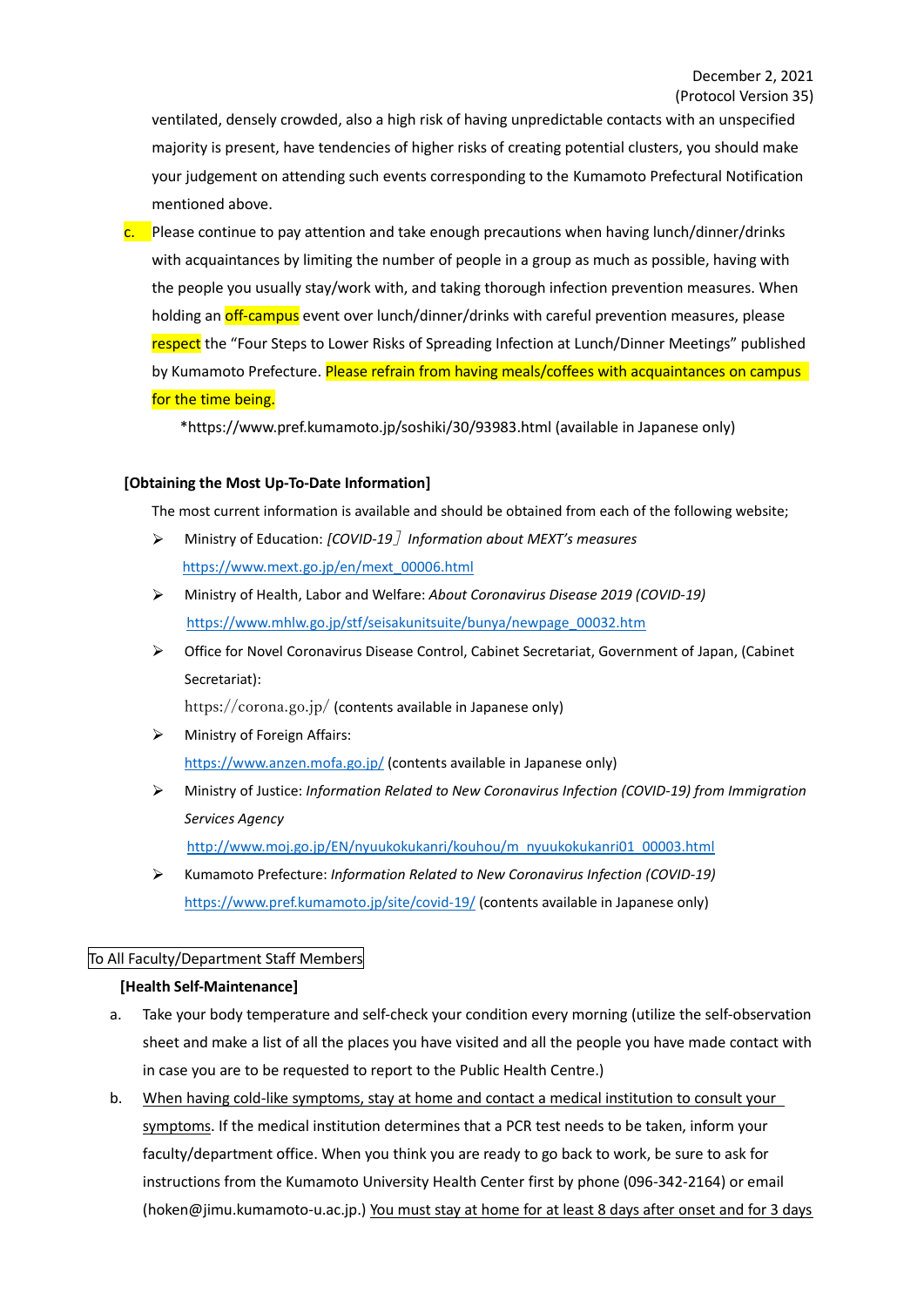ventilated, densely crowded, also a high risk of having unpredictable contacts with an unspecified majority is present, have tendencies of higher risks of creating potential clusters, you should make your judgement on attending such events corresponding to the Kumamoto Prefectural Notification mentioned above.

 $\frac{c}{c}$ . Please continue to pay attention and take enough precautions when having lunch/dinner/drinks with acquaintances by limiting the number of people in a group as much as possible, having with the people you usually stay/work with, and taking thorough infection prevention measures. When holding an **off-campus** event over lunch/dinner/drinks with careful prevention measures, please respect the "Four Steps to Lower Risks of Spreading Infection at Lunch/Dinner Meetings" published by Kumamoto Prefecture. Please refrain from having meals/coffees with acquaintances on campus for the time being.

\*https://www.pref.kumamoto.jp/soshiki/30/93983.html (available in Japanese only)

#### **[Obtaining the Most Up-To-Date Information]**

The most current information is available and should be obtained from each of the following website;

- Ministry of Education: *[COVID-19*]*Information about MEXT's measures* https://www.mext.go.jp/en/mext\_00006.html
- Ministry of Health, Labor and Welfare: *About Coronavirus Disease 2019 (COVID-19)*  $\blacktriangleright$ https://www.mhlw.go.jp/stf/seisakunitsuite/bunya/newpage\_00032.htm
- $\blacktriangleright$ Office for Novel Coronavirus Disease Control, Cabinet Secretariat, Government of Japan, (Cabinet Secretariat):

https://corona.go.jp/ (contents available in Japanese only)

- Ministry of Foreign Affairs: https://www.anzen.mofa.go.jp/ (contents available in Japanese only)
- $\blacktriangleright$ Ministry of Justice: *Information Related to New Coronavirus Infection (COVID-19) from Immigration Services Agency* http://www.moj.go.jp/EN/nyuukokukanri/kouhou/m\_nyuukokukanri01\_00003.html
- $\blacktriangleright$ Kumamoto Prefecture: *Information Related to New Coronavirus Infection (COVID-19)* https://www.pref.kumamoto.jp/site/covid-19/ (contents available in Japanese only)

#### To All Faculty/Department Staff Members

#### **[Health Self-Maintenance]**

- a. Take your body temperature and self-check your condition every morning (utilize the self-observation sheet and make a list of all the places you have visited and all the people you have made contact with in case you are to be requested to report to the Public Health Centre.)
- b. When having cold-like symptoms, stay at home and contact a medical institution to consult your symptoms. If the medical institution determines that a PCR test needs to be taken, inform your faculty/department office. When you think you are ready to go back to work, be sure to ask for instructions from the Kumamoto University Health Center first by phone (096-342-2164) or email (hoken@jimu.kumamoto-u.ac.jp.) You must stay at home for at least 8 days after onset and for 3 days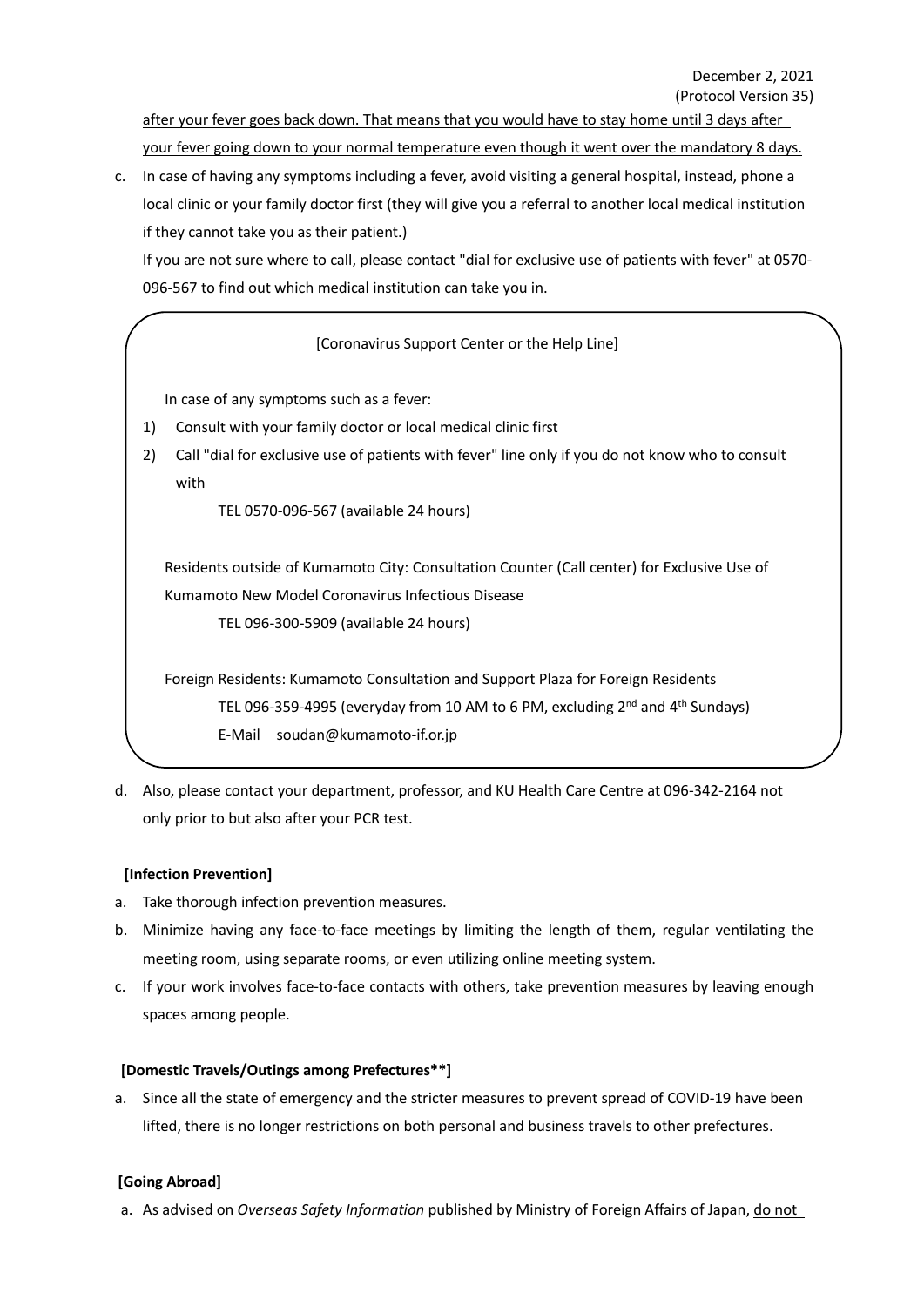after your fever goes back down. That means that you would have to stay home until 3 days after your fever going down to your normal temperature even though it went over the mandatory 8 days.

c. In case of having any symptoms including a fever, avoid visiting a general hospital, instead, phone a local clinic or your family doctor first (they will give you a referral to another local medical institution if they cannot take you as their patient.)

If you are not sure where to call, please contact "dial for exclusive use of patients with fever" at 0570- 096-567 to find out which medical institution can take you in.

### [Coronavirus Support Center or the Help Line]

In case of any symptoms such as a fever:

- 1) Consult with your family doctor or local medical clinic first
- 2) Call "dial for exclusive use of patients with fever" line only if you do not know who to consult with

TEL 0570-096-567 (available 24 hours)

Residents outside of Kumamoto City: Consultation Counter (Call center) for Exclusive Use of Kumamoto New Model Coronavirus Infectious Disease

TEL 096-300-5909 (available 24 hours)

Foreign Residents: Kumamoto Consultation and Support Plaza for Foreign Residents TEL 096-359-4995 (everyday from 10 AM to 6 PM, excluding 2<sup>nd</sup> and 4<sup>th</sup> Sundays) E-Mail soudan@kumamoto-if.or.jp

d. Also, please contact your department, professor, and KU Health Care Centre at 096-342-2164 not only prior to but also after your PCR test.

#### **[Infection Prevention]**

- a. Take thorough infection prevention measures.
- b. Minimize having any face-to-face meetings by limiting the length of them, regular ventilating the meeting room, using separate rooms, or even utilizing online meeting system.
- c. If your work involves face-to-face contacts with others, take prevention measures by leaving enough spaces among people.

#### **[Domestic Travels/Outings among Prefectures\*\*]**

a. Since all the state of emergency and the stricter measures to prevent spread of COVID-19 have been lifted, there is no longer restrictions on both personal and business travels to other prefectures.

### **[Going Abroad]**

a. As advised on *Overseas Safety Information* published by Ministry of Foreign Affairs of Japan, do not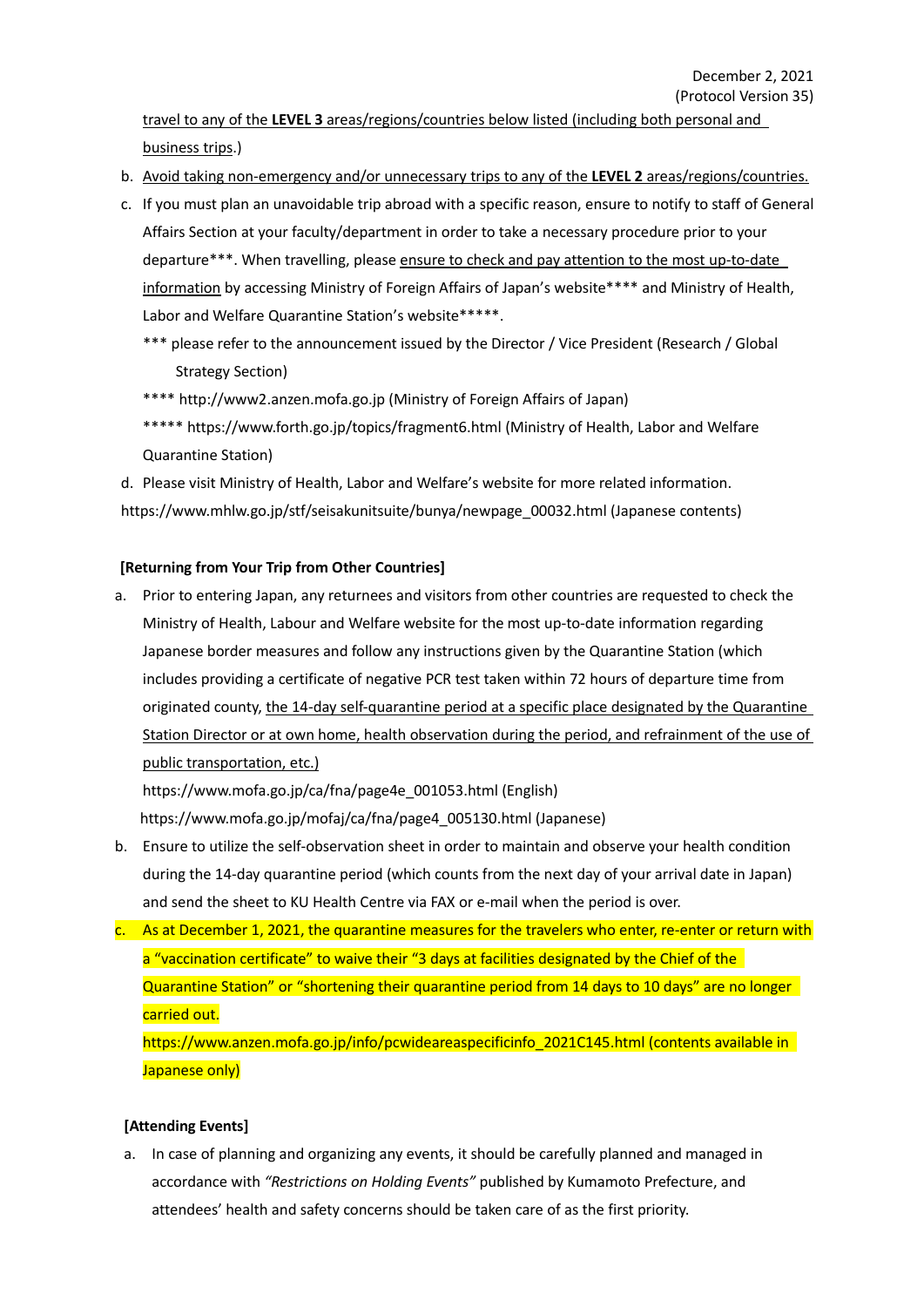travel to any of the **LEVEL 3** areas/regions/countries below listed (including both personal and business trips.)

- b. Avoid taking non-emergency and/or unnecessary trips to any of the **LEVEL 2** areas/regions/countries.
- c. If you must plan an unavoidable trip abroad with a specific reason, ensure to notify to staff of General Affairs Section at your faculty/department in order to take a necessary procedure prior to your departure\*\*\*. When travelling, please ensure to check and pay attention to the most up-to-date information by accessing Ministry of Foreign Affairs of Japan's website\*\*\*\* and Ministry of Health, Labor and Welfare Quarantine Station's website\*\*\*\*\*.
	- \*\*\* please refer to the announcement issued by the Director / Vice President (Research / Global Strategy Section)
	- \*\*\*\* http://www2.anzen.mofa.go.jp (Ministry of Foreign Affairs of Japan)
	- \*\*\*\*\* https://www.forth.go.jp/topics/fragment6.html (Ministry of Health, Labor and Welfare Quarantine Station)
- d. Please visit Ministry of Health, Labor and Welfare's website for more related information. https://www.mhlw.go.jp/stf/seisakunitsuite/bunya/newpage\_00032.html (Japanese contents)

#### **[Returning from Your Trip from Other Countries]**

a. Prior to entering Japan, any returnees and visitors from other countries are requested to check the Ministry of Health, Labour and Welfare website for the most up-to-date information regarding Japanese border measures and follow any instructions given by the Quarantine Station (which includes providing a certificate of negative PCR test taken within 72 hours of departure time from originated county, the 14-day self-quarantine period at a specific place designated by the Quarantine Station Director or at own home, health observation during the period, and refrainment of the use of public transportation, etc.)

https://www.mofa.go.jp/ca/fna/page4e\_001053.html (English) https://www.mofa.go.jp/mofaj/ca/fna/page4\_005130.html (Japanese)

- b. Ensure to utilize the self-observation sheet in order to maintain and observe your health condition during the 14-day quarantine period (which counts from the next day of your arrival date in Japan) and send the sheet to KU Health Centre via FAX or e-mail when the period is over.
- c. As at December 1, 2021, the quarantine measures for the travelers who enter, re-enter or return with a "vaccination certificate" to waive their "3 days at facilities designated by the Chief of the Quarantine Station" or "shortening their quarantine period from 14 days to 10 days" are no longer carried out. https://www.anzen.mofa.go.jp/info/pcwideareaspecificinfo\_2021C145.html (contents available in Japanese only)

#### **[Attending Events]**

a. In case of planning and organizing any events, it should be carefully planned and managed in accordance with *"Restrictions on Holding Events"* published by Kumamoto Prefecture, and attendees' health and safety concerns should be taken care of as the first priority.